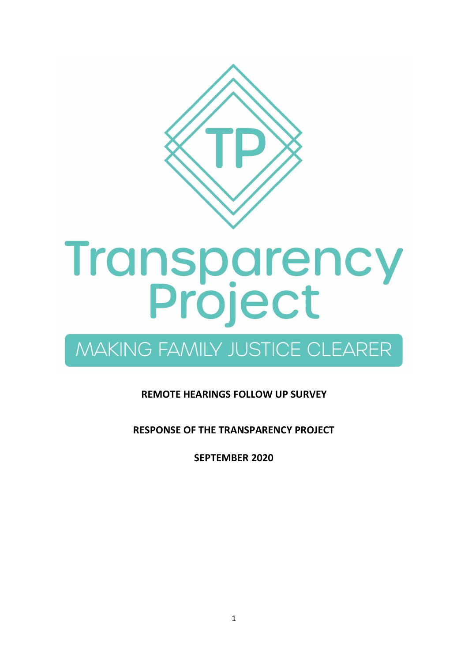

# **Transparency<br>Project**

## **MAKING FAMILY JUSTICE CLEARER**

### **REMOTE HEARINGS FOLLOW UP SURVEY**

**RESPONSE OF THE TRANSPARENCY PROJECT** 

**SEPTEMBER 2020**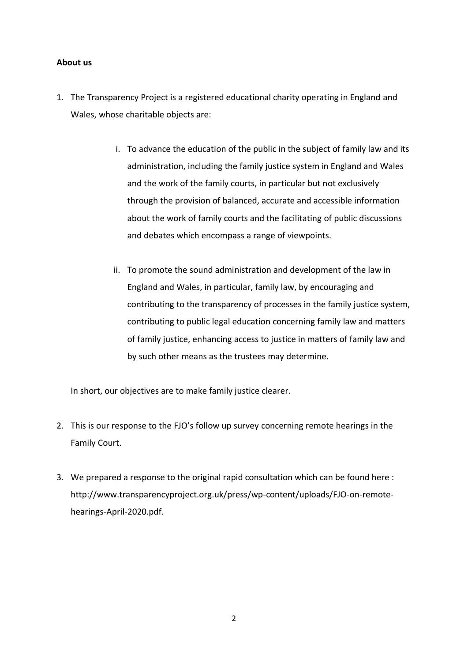#### **About us**

- 1. The Transparency Project is a registered educational charity operating in England and Wales, whose charitable objects are:
	- i. To advance the education of the public in the subject of family law and its administration, including the family justice system in England and Wales and the work of the family courts, in particular but not exclusively through the provision of balanced, accurate and accessible information about the work of family courts and the facilitating of public discussions and debates which encompass a range of viewpoints.
	- ii. To promote the sound administration and development of the law in England and Wales, in particular, family law, by encouraging and contributing to the transparency of processes in the family justice system, contributing to public legal education concerning family law and matters of family justice, enhancing access to justice in matters of family law and by such other means as the trustees may determine.

In short, our objectives are to make family justice clearer.

- 2. This is our response to the FJO's follow up survey concerning remote hearings in the Family Court.
- 3. We prepared a response to the original rapid consultation which can be found here : http://www.transparencyproject.org.uk/press/wp-content/uploads/FJO-on-remotehearings-April-2020.pdf.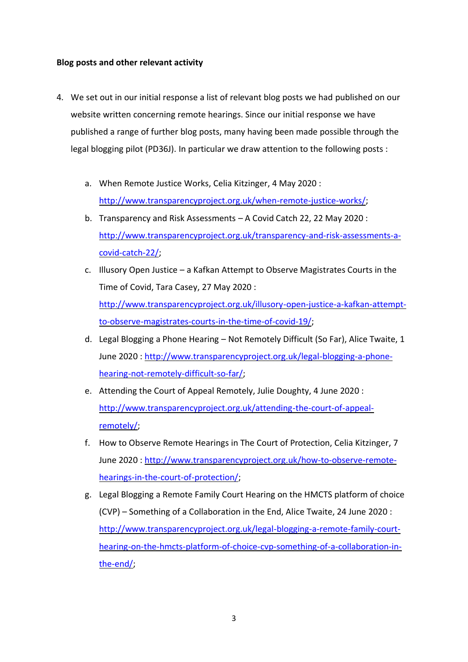#### **Blog posts and other relevant activity**

- 4. We set out in our initial response a list of relevant blog posts we had published on our website written concerning remote hearings. Since our initial response we have published a range of further blog posts, many having been made possible through the legal blogging pilot (PD36J). In particular we draw attention to the following posts :
	- a. When Remote Justice Works, Celia Kitzinger, 4 May 2020 : [http://www.transparencyproject.org.uk/when-remote-justice-works/;](http://www.transparencyproject.org.uk/when-remote-justice-works/)
	- b. Transparency and Risk Assessments A Covid Catch 22, 22 May 2020 : [http://www.transparencyproject.org.uk/transparency-and-risk-assessments-a](http://www.transparencyproject.org.uk/transparency-and-risk-assessments-a-covid-catch-22/)[covid-catch-22/;](http://www.transparencyproject.org.uk/transparency-and-risk-assessments-a-covid-catch-22/)
	- c. Illusory Open Justice a Kafkan Attempt to Observe Magistrates Courts in the Time of Covid, Tara Casey, 27 May 2020 : [http://www.transparencyproject.org.uk/illusory-open-justice-a-kafkan-attempt](http://www.transparencyproject.org.uk/illusory-open-justice-a-kafkan-attempt-to-observe-magistrates-courts-in-the-time-of-covid-19/)[to-observe-magistrates-courts-in-the-time-of-covid-19/;](http://www.transparencyproject.org.uk/illusory-open-justice-a-kafkan-attempt-to-observe-magistrates-courts-in-the-time-of-covid-19/)
	- d. Legal Blogging a Phone Hearing Not Remotely Difficult (So Far), Alice Twaite, 1 June 2020 : [http://www.transparencyproject.org.uk/legal-blogging-a-phone](http://www.transparencyproject.org.uk/legal-blogging-a-phone-hearing-not-remotely-difficult-so-far/)[hearing-not-remotely-difficult-so-far/;](http://www.transparencyproject.org.uk/legal-blogging-a-phone-hearing-not-remotely-difficult-so-far/)
	- e. Attending the Court of Appeal Remotely, Julie Doughty, 4 June 2020 : [http://www.transparencyproject.org.uk/attending-the-court-of-appeal](http://www.transparencyproject.org.uk/attending-the-court-of-appeal-remotely/)[remotely/;](http://www.transparencyproject.org.uk/attending-the-court-of-appeal-remotely/)
	- f. How to Observe Remote Hearings in The Court of Protection, Celia Kitzinger, 7 June 2020 : [http://www.transparencyproject.org.uk/how-to-observe-remote](http://www.transparencyproject.org.uk/how-to-observe-remote-hearings-in-the-court-of-protection/)[hearings-in-the-court-of-protection/;](http://www.transparencyproject.org.uk/how-to-observe-remote-hearings-in-the-court-of-protection/)
	- g. Legal Blogging a Remote Family Court Hearing on the HMCTS platform of choice (CVP) – Something of a Collaboration in the End, Alice Twaite, 24 June 2020 : [http://www.transparencyproject.org.uk/legal-blogging-a-remote-family-court](http://www.transparencyproject.org.uk/legal-blogging-a-remote-family-court-hearing-on-the-hmcts-platform-of-choice-cvp-something-of-a-collaboration-in-the-end/)[hearing-on-the-hmcts-platform-of-choice-cvp-something-of-a-collaboration-in](http://www.transparencyproject.org.uk/legal-blogging-a-remote-family-court-hearing-on-the-hmcts-platform-of-choice-cvp-something-of-a-collaboration-in-the-end/)[the-end/;](http://www.transparencyproject.org.uk/legal-blogging-a-remote-family-court-hearing-on-the-hmcts-platform-of-choice-cvp-something-of-a-collaboration-in-the-end/)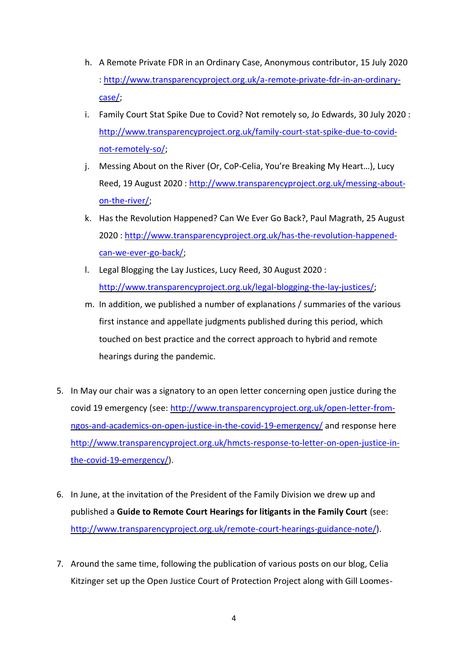- h. A Remote Private FDR in an Ordinary Case, Anonymous contributor, 15 July 2020 : [http://www.transparencyproject.org.uk/a-remote-private-fdr-in-an-ordinary](http://www.transparencyproject.org.uk/a-remote-private-fdr-in-an-ordinary-case/)[case/;](http://www.transparencyproject.org.uk/a-remote-private-fdr-in-an-ordinary-case/)
- i. Family Court Stat Spike Due to Covid? Not remotely so, Jo Edwards, 30 July 2020 : [http://www.transparencyproject.org.uk/family-court-stat-spike-due-to-covid](http://www.transparencyproject.org.uk/family-court-stat-spike-due-to-covid-not-remotely-so/)[not-remotely-so/;](http://www.transparencyproject.org.uk/family-court-stat-spike-due-to-covid-not-remotely-so/)
- j. Messing About on the River (Or, CoP-Celia, You're Breaking My Heart…), Lucy Reed, 19 August 2020 : [http://www.transparencyproject.org.uk/messing-about](http://www.transparencyproject.org.uk/messing-about-on-the-river/)[on-the-river/;](http://www.transparencyproject.org.uk/messing-about-on-the-river/)
- k. Has the Revolution Happened? Can We Ever Go Back?, Paul Magrath, 25 August 2020 : [http://www.transparencyproject.org.uk/has-the-revolution-happened](http://www.transparencyproject.org.uk/has-the-revolution-happened-can-we-ever-go-back/)[can-we-ever-go-back/;](http://www.transparencyproject.org.uk/has-the-revolution-happened-can-we-ever-go-back/)
- l. Legal Blogging the Lay Justices, Lucy Reed, 30 August 2020 : [http://www.transparencyproject.org.uk/legal-blogging-the-lay-justices/;](http://www.transparencyproject.org.uk/legal-blogging-the-lay-justices/)
- m. In addition, we published a number of explanations / summaries of the various first instance and appellate judgments published during this period, which touched on best practice and the correct approach to hybrid and remote hearings during the pandemic.
- 5. In May our chair was a signatory to an open letter concerning open justice during the covid 19 emergency (see: [http://www.transparencyproject.org.uk/open-letter-from](http://www.transparencyproject.org.uk/open-letter-from-ngos-and-academics-on-open-justice-in-the-covid-19-emergency/)[ngos-and-academics-on-open-justice-in-the-covid-19-emergency/](http://www.transparencyproject.org.uk/open-letter-from-ngos-and-academics-on-open-justice-in-the-covid-19-emergency/) and response here [http://www.transparencyproject.org.uk/hmcts-response-to-letter-on-open-justice-in](http://www.transparencyproject.org.uk/hmcts-response-to-letter-on-open-justice-in-the-covid-19-emergency/)[the-covid-19-emergency/\)](http://www.transparencyproject.org.uk/hmcts-response-to-letter-on-open-justice-in-the-covid-19-emergency/).
- 6. In June, at the invitation of the President of the Family Division we drew up and published a **Guide to Remote Court Hearings for litigants in the Family Court** (see: [http://www.transparencyproject.org.uk/remote-court-hearings-guidance-note/\)](http://www.transparencyproject.org.uk/remote-court-hearings-guidance-note/).
- 7. Around the same time, following the publication of various posts on our blog, Celia Kitzinger set up the Open Justice Court of Protection Project along with Gill Loomes-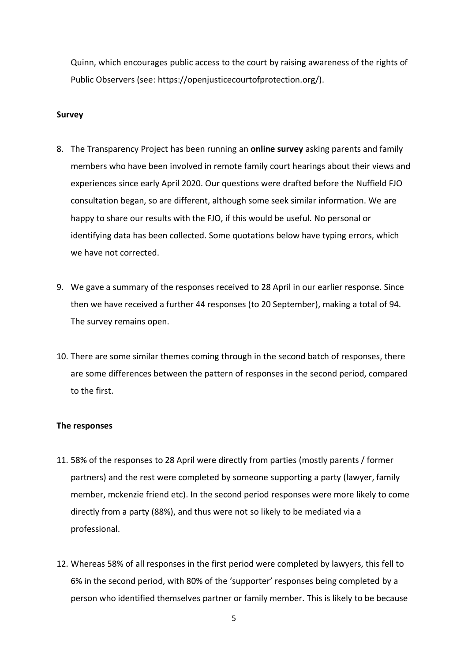Quinn, which encourages public access to the court by raising awareness of the rights of Public Observers (see: https://openjusticecourtofprotection.org/).

#### **Survey**

- 8. The Transparency Project has been running an **online survey** asking parents and family members who have been involved in remote family court hearings about their views and experiences since early April 2020. Our questions were drafted before the Nuffield FJO consultation began, so are different, although some seek similar information. We are happy to share our results with the FJO, if this would be useful. No personal or identifying data has been collected. Some quotations below have typing errors, which we have not corrected.
- 9. We gave a summary of the responses received to 28 April in our earlier response. Since then we have received a further 44 responses (to 20 September), making a total of 94. The survey remains open.
- 10. There are some similar themes coming through in the second batch of responses, there are some differences between the pattern of responses in the second period, compared to the first.

#### **The responses**

- 11. 58% of the responses to 28 April were directly from parties (mostly parents / former partners) and the rest were completed by someone supporting a party (lawyer, family member, mckenzie friend etc). In the second period responses were more likely to come directly from a party (88%), and thus were not so likely to be mediated via a professional.
- 12. Whereas 58% of all responses in the first period were completed by lawyers, this fell to 6% in the second period, with 80% of the 'supporter' responses being completed by a person who identified themselves partner or family member. This is likely to be because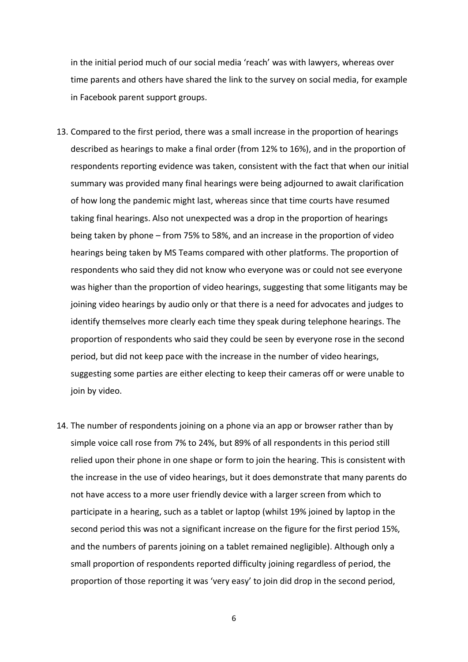in the initial period much of our social media 'reach' was with lawyers, whereas over time parents and others have shared the link to the survey on social media, for example in Facebook parent support groups.

- 13. Compared to the first period, there was a small increase in the proportion of hearings described as hearings to make a final order (from 12% to 16%), and in the proportion of respondents reporting evidence was taken, consistent with the fact that when our initial summary was provided many final hearings were being adjourned to await clarification of how long the pandemic might last, whereas since that time courts have resumed taking final hearings. Also not unexpected was a drop in the proportion of hearings being taken by phone – from 75% to 58%, and an increase in the proportion of video hearings being taken by MS Teams compared with other platforms. The proportion of respondents who said they did not know who everyone was or could not see everyone was higher than the proportion of video hearings, suggesting that some litigants may be joining video hearings by audio only or that there is a need for advocates and judges to identify themselves more clearly each time they speak during telephone hearings. The proportion of respondents who said they could be seen by everyone rose in the second period, but did not keep pace with the increase in the number of video hearings, suggesting some parties are either electing to keep their cameras off or were unable to join by video.
- 14. The number of respondents joining on a phone via an app or browser rather than by simple voice call rose from 7% to 24%, but 89% of all respondents in this period still relied upon their phone in one shape or form to join the hearing. This is consistent with the increase in the use of video hearings, but it does demonstrate that many parents do not have access to a more user friendly device with a larger screen from which to participate in a hearing, such as a tablet or laptop (whilst 19% joined by laptop in the second period this was not a significant increase on the figure for the first period 15%, and the numbers of parents joining on a tablet remained negligible). Although only a small proportion of respondents reported difficulty joining regardless of period, the proportion of those reporting it was 'very easy' to join did drop in the second period,

6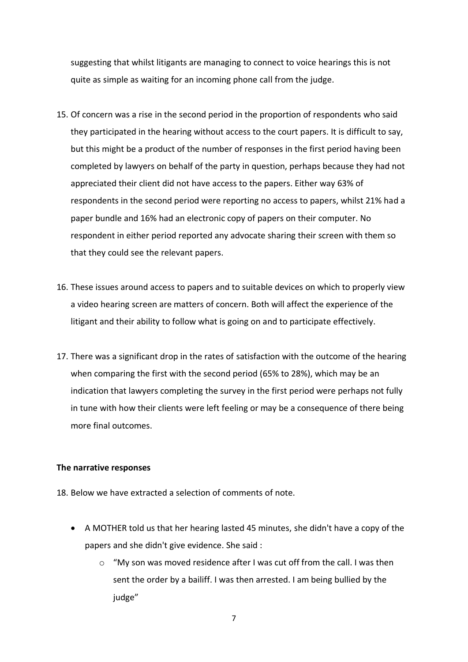suggesting that whilst litigants are managing to connect to voice hearings this is not quite as simple as waiting for an incoming phone call from the judge.

- 15. Of concern was a rise in the second period in the proportion of respondents who said they participated in the hearing without access to the court papers. It is difficult to say, but this might be a product of the number of responses in the first period having been completed by lawyers on behalf of the party in question, perhaps because they had not appreciated their client did not have access to the papers. Either way 63% of respondents in the second period were reporting no access to papers, whilst 21% had a paper bundle and 16% had an electronic copy of papers on their computer. No respondent in either period reported any advocate sharing their screen with them so that they could see the relevant papers.
- 16. These issues around access to papers and to suitable devices on which to properly view a video hearing screen are matters of concern. Both will affect the experience of the litigant and their ability to follow what is going on and to participate effectively.
- 17. There was a significant drop in the rates of satisfaction with the outcome of the hearing when comparing the first with the second period (65% to 28%), which may be an indication that lawyers completing the survey in the first period were perhaps not fully in tune with how their clients were left feeling or may be a consequence of there being more final outcomes.

#### **The narrative responses**

18. Below we have extracted a selection of comments of note.

- A MOTHER told us that her hearing lasted 45 minutes, she didn't have a copy of the papers and she didn't give evidence. She said :
	- o "My son was moved residence after I was cut off from the call. I was then sent the order by a bailiff. I was then arrested. I am being bullied by the judge"

7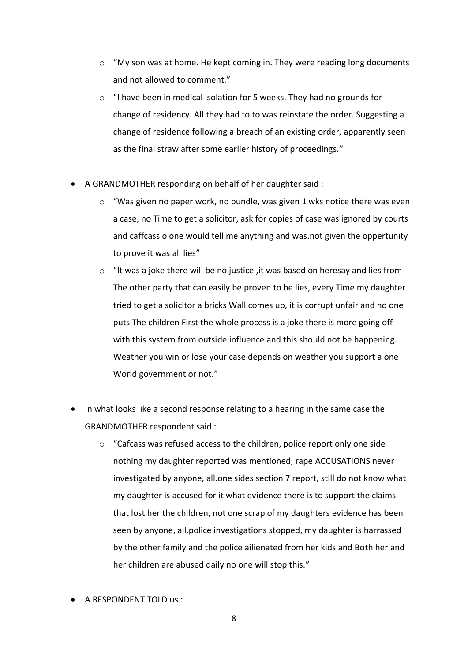- $\circ$  "My son was at home. He kept coming in. They were reading long documents and not allowed to comment."
- o "I have been in medical isolation for 5 weeks. They had no grounds for change of residency. All they had to to was reinstate the order. Suggesting a change of residence following a breach of an existing order, apparently seen as the final straw after some earlier history of proceedings."
- A GRANDMOTHER responding on behalf of her daughter said :
	- o "Was given no paper work, no bundle, was given 1 wks notice there was even a case, no Time to get a solicitor, ask for copies of case was ignored by courts and caffcass o one would tell me anything and was.not given the oppertunity to prove it was all lies"
	- $\circ$  "It was a joke there will be no justice , it was based on heresay and lies from The other party that can easily be proven to be lies, every Time my daughter tried to get a solicitor a bricks Wall comes up, it is corrupt unfair and no one puts The children First the whole process is a joke there is more going off with this system from outside influence and this should not be happening. Weather you win or lose your case depends on weather you support a one World government or not."
- In what looks like a second response relating to a hearing in the same case the GRANDMOTHER respondent said :
	- o "Cafcass was refused access to the children, police report only one side nothing my daughter reported was mentioned, rape ACCUSATIONS never investigated by anyone, all.one sides section 7 report, still do not know what my daughter is accused for it what evidence there is to support the claims that lost her the children, not one scrap of my daughters evidence has been seen by anyone, all.police investigations stopped, my daughter is harrassed by the other family and the police ailienated from her kids and Both her and her children are abused daily no one will stop this."
- A RESPONDENT TOLD us :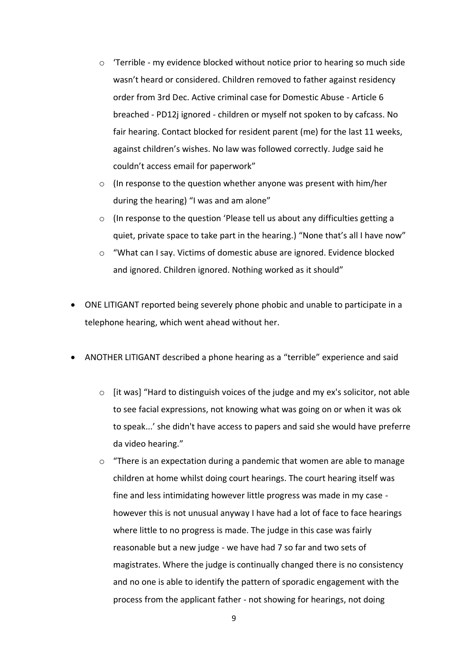- $\circ$  'Terrible my evidence blocked without notice prior to hearing so much side wasn't heard or considered. Children removed to father against residency order from 3rd Dec. Active criminal case for Domestic Abuse - Article 6 breached - PD12j ignored - children or myself not spoken to by cafcass. No fair hearing. Contact blocked for resident parent (me) for the last 11 weeks, against children's wishes. No law was followed correctly. Judge said he couldn't access email for paperwork"
- o (In response to the question whether anyone was present with him/her during the hearing) "I was and am alone"
- $\circ$  (In response to the question 'Please tell us about any difficulties getting a quiet, private space to take part in the hearing.) "None that's all I have now"
- o "What can I say. Victims of domestic abuse are ignored. Evidence blocked and ignored. Children ignored. Nothing worked as it should"
- ONE LITIGANT reported being severely phone phobic and unable to participate in a telephone hearing, which went ahead without her.
- ANOTHER LITIGANT described a phone hearing as a "terrible" experience and said
	- $\circ$  [it was] "Hard to distinguish voices of the judge and my ex's solicitor, not able to see facial expressions, not knowing what was going on or when it was ok to speak...' she didn't have access to papers and said she would have preferre da video hearing."
	- $\circ$  "There is an expectation during a pandemic that women are able to manage children at home whilst doing court hearings. The court hearing itself was fine and less intimidating however little progress was made in my case however this is not unusual anyway I have had a lot of face to face hearings where little to no progress is made. The judge in this case was fairly reasonable but a new judge - we have had 7 so far and two sets of magistrates. Where the judge is continually changed there is no consistency and no one is able to identify the pattern of sporadic engagement with the process from the applicant father - not showing for hearings, not doing

9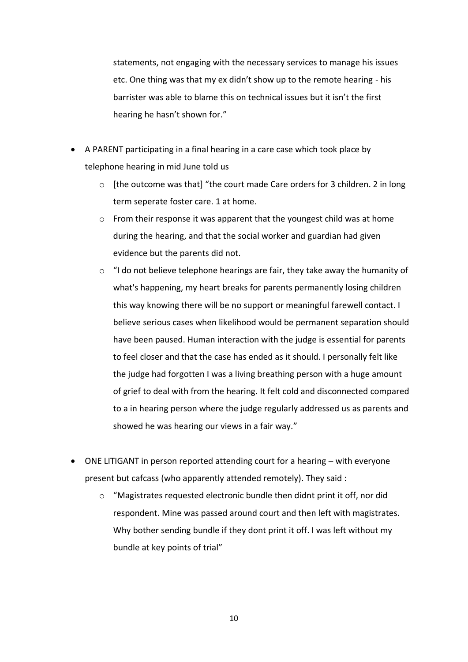statements, not engaging with the necessary services to manage his issues etc. One thing was that my ex didn't show up to the remote hearing - his barrister was able to blame this on technical issues but it isn't the first hearing he hasn't shown for."

- A PARENT participating in a final hearing in a care case which took place by telephone hearing in mid June told us
	- o [the outcome was that] "the court made Care orders for 3 children. 2 in long term seperate foster care. 1 at home.
	- o From their response it was apparent that the youngest child was at home during the hearing, and that the social worker and guardian had given evidence but the parents did not.
	- $\circ$  "I do not believe telephone hearings are fair, they take away the humanity of what's happening, my heart breaks for parents permanently losing children this way knowing there will be no support or meaningful farewell contact. I believe serious cases when likelihood would be permanent separation should have been paused. Human interaction with the judge is essential for parents to feel closer and that the case has ended as it should. I personally felt like the judge had forgotten I was a living breathing person with a huge amount of grief to deal with from the hearing. It felt cold and disconnected compared to a in hearing person where the judge regularly addressed us as parents and showed he was hearing our views in a fair way."
- ONE LITIGANT in person reported attending court for a hearing with everyone present but cafcass (who apparently attended remotely). They said :
	- o "Magistrates requested electronic bundle then didnt print it off, nor did respondent. Mine was passed around court and then left with magistrates. Why bother sending bundle if they dont print it off. I was left without my bundle at key points of trial"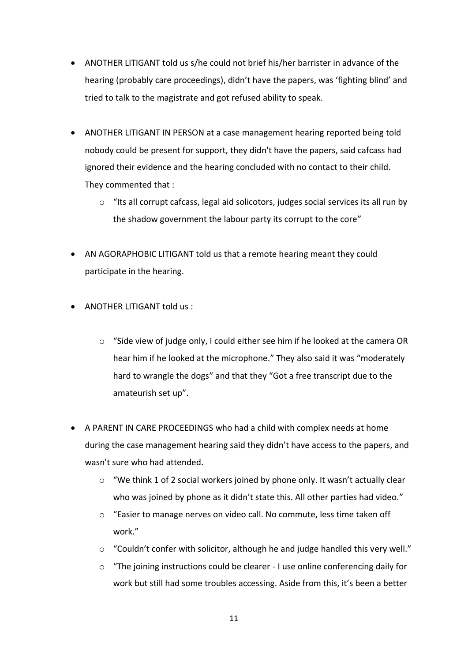- ANOTHER LITIGANT told us s/he could not brief his/her barrister in advance of the hearing (probably care proceedings), didn't have the papers, was 'fighting blind' and tried to talk to the magistrate and got refused ability to speak.
- ANOTHER LITIGANT IN PERSON at a case management hearing reported being told nobody could be present for support, they didn't have the papers, said cafcass had ignored their evidence and the hearing concluded with no contact to their child. They commented that :
	- o "Its all corrupt cafcass, legal aid solicotors, judges social services its all run by the shadow government the labour party its corrupt to the core"
- AN AGORAPHOBIC LITIGANT told us that a remote hearing meant they could participate in the hearing.
- ANOTHER LITIGANT told us :
	- $\circ$  "Side view of judge only, I could either see him if he looked at the camera OR hear him if he looked at the microphone." They also said it was "moderately hard to wrangle the dogs" and that they "Got a free transcript due to the amateurish set up".
- A PARENT IN CARE PROCEEDINGS who had a child with complex needs at home during the case management hearing said they didn't have access to the papers, and wasn't sure who had attended.
	- o "We think 1 of 2 social workers joined by phone only. It wasn't actually clear who was joined by phone as it didn't state this. All other parties had video."
	- o "Easier to manage nerves on video call. No commute, less time taken off work."
	- $\circ$  "Couldn't confer with solicitor, although he and judge handled this very well."
	- o "The joining instructions could be clearer I use online conferencing daily for work but still had some troubles accessing. Aside from this, it's been a better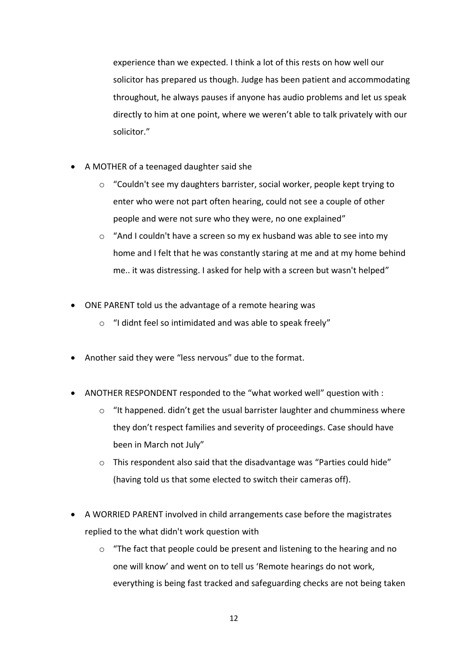experience than we expected. I think a lot of this rests on how well our solicitor has prepared us though. Judge has been patient and accommodating throughout, he always pauses if anyone has audio problems and let us speak directly to him at one point, where we weren't able to talk privately with our solicitor."

- A MOTHER of a teenaged daughter said she
	- o "Couldn't see my daughters barrister, social worker, people kept trying to enter who were not part often hearing, could not see a couple of other people and were not sure who they were, no one explained"
	- o "And I couldn't have a screen so my ex husband was able to see into my home and I felt that he was constantly staring at me and at my home behind me.. it was distressing. I asked for help with a screen but wasn't helped"
- ONE PARENT told us the advantage of a remote hearing was
	- o "I didnt feel so intimidated and was able to speak freely"
- Another said they were "less nervous" due to the format.
- ANOTHER RESPONDENT responded to the "what worked well" question with :
	- $\circ$  "It happened. didn't get the usual barrister laughter and chumminess where they don't respect families and severity of proceedings. Case should have been in March not July"
	- $\circ$  This respondent also said that the disadvantage was "Parties could hide" (having told us that some elected to switch their cameras off).
- A WORRIED PARENT involved in child arrangements case before the magistrates replied to the what didn't work question with
	- $\circ$  "The fact that people could be present and listening to the hearing and no one will know' and went on to tell us 'Remote hearings do not work, everything is being fast tracked and safeguarding checks are not being taken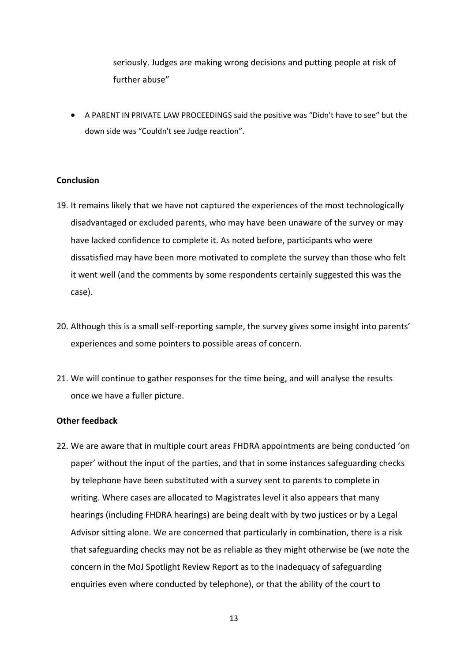seriously. Judges are making wrong decisions and putting people at risk of further abuse"

• A PARENT IN PRIVATE LAW PROCEEDINGS said the positive was "Didn't have to see" but the down side was "Couldn't see Judge reaction".

#### **Conclusion**

- 19. It remains likely that we have not captured the experiences of the most technologically disadvantaged or excluded parents, who may have been unaware of the survey or may have lacked confidence to complete it. As noted before, participants who were dissatisfied may have been more motivated to complete the survey than those who felt it went well (and the comments by some respondents certainly suggested this was the case).
- 20. Although this is a small self-reporting sample, the survey gives some insight into parents' experiences and some pointers to possible areas of concern.
- 21. We will continue to gather responses for the time being, and will analyse the results once we have a fuller picture.

#### **Other feedback**

22. We are aware that in multiple court areas FHDRA appointments are being conducted 'on paper' without the input of the parties, and that in some instances safeguarding checks by telephone have been substituted with a survey sent to parents to complete in writing. Where cases are allocated to Magistrates level it also appears that many hearings (including FHDRA hearings) are being dealt with by two justices or by a Legal Advisor sitting alone. We are concerned that particularly in combination, there is a risk that safeguarding checks may not be as reliable as they might otherwise be (we note the concern in the MoJ Spotlight Review Report as to the inadequacy of safeguarding enquiries even where conducted by telephone), or that the ability of the court to